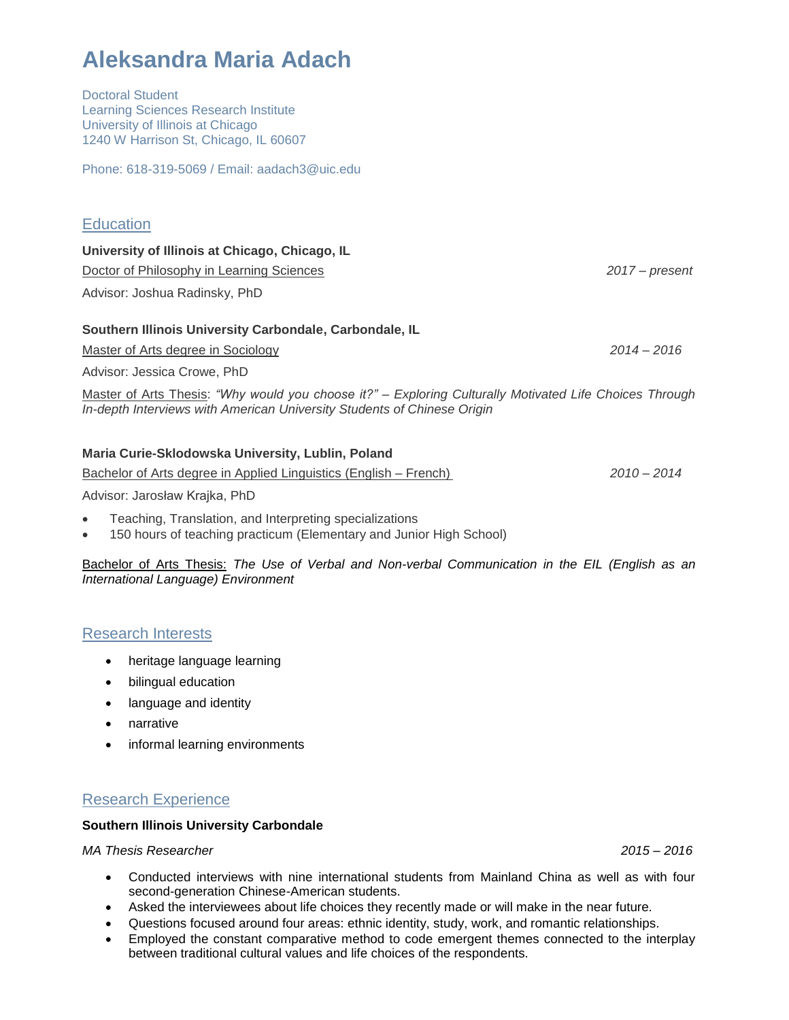| <b>Learning Sciences Research Institute</b><br>University of Illinois at Chicago<br>1240 W Harrison St, Chicago, IL 60607                                                          |                  |
|------------------------------------------------------------------------------------------------------------------------------------------------------------------------------------|------------------|
| Phone: 618-319-5069 / Email: aadach3@uic.edu                                                                                                                                       |                  |
|                                                                                                                                                                                    |                  |
| <b>Education</b>                                                                                                                                                                   |                  |
| University of Illinois at Chicago, Chicago, IL                                                                                                                                     |                  |
| Doctor of Philosophy in Learning Sciences                                                                                                                                          | $2017 - present$ |
| Advisor: Joshua Radinsky, PhD                                                                                                                                                      |                  |
| Southern Illinois University Carbondale, Carbondale, IL                                                                                                                            |                  |
| Master of Arts degree in Sociology                                                                                                                                                 | $2014 - 2016$    |
| Advisor: Jessica Crowe, PhD                                                                                                                                                        |                  |
| Master of Arts Thesis: "Why would you choose it?" - Exploring Culturally Motivated Life Choices Through<br>In-depth Interviews with American University Students of Chinese Origin |                  |
| Maria Curie-Sklodowska University, Lublin, Poland                                                                                                                                  |                  |

Bachelor of Arts degree in Applied Linguistics (English – French) *2010 – 2014*

Advisor: Jarosław Krajka, PhD

• Teaching, Translation, and Interpreting specializations

**Aleksandra Maria Adach**

Doctoral Student

• 150 hours of teaching practicum (Elementary and Junior High School)

Bachelor of Arts Thesis: *The Use of Verbal and Non-verbal Communication in the EIL (English as an International Language) Environment*

# Research Interests

- heritage language learning
- bilingual education
- language and identity
- narrative
- informal learning environments

# Research Experience

## **Southern Illinois University Carbondale**

*MA Thesis Researcher 2015 – 2016*

- Conducted interviews with nine international students from Mainland China as well as with four second-generation Chinese-American students.
- Asked the interviewees about life choices they recently made or will make in the near future.
- Questions focused around four areas: ethnic identity, study, work, and romantic relationships.
- Employed the constant comparative method to code emergent themes connected to the interplay between traditional cultural values and life choices of the respondents.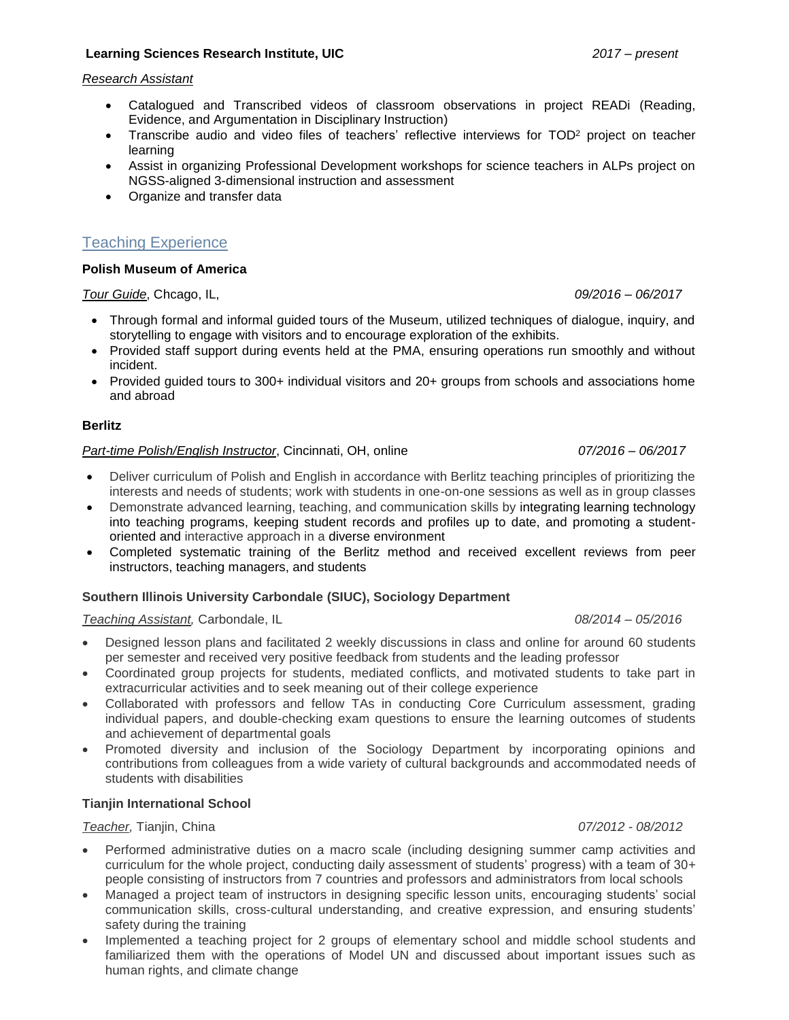## **Learning Sciences Research Institute, UIC** *2017 – present*

### *Research Assistant*

- Catalogued and Transcribed videos of classroom observations in project READi (Reading, Evidence, and Argumentation in Disciplinary Instruction)
- Transcribe audio and video files of teachers' reflective interviews for TOD<sup>2</sup> project on teacher learning
- Assist in organizing Professional Development workshops for science teachers in ALPs project on NGSS-aligned 3-dimensional instruction and assessment
- Organize and transfer data

# Teaching Experience

### **Polish Museum of America**

*Tour Guide*, Chcago, IL, *09/2016 – 06/2017*

- Through formal and informal guided tours of the Museum, utilized techniques of dialogue, inquiry, and storytelling to engage with visitors and to encourage exploration of the exhibits.
- Provided staff support during events held at the PMA, ensuring operations run smoothly and without incident.
- Provided guided tours to 300+ individual visitors and 20+ groups from schools and associations home and abroad

### **Berlitz**

## *Part-time Polish/English Instructor*, Cincinnati, OH, online *07/2016 – 06/2017*

- Deliver curriculum of Polish and English in accordance with Berlitz teaching principles of prioritizing the interests and needs of students; work with students in one-on-one sessions as well as in group classes
- Demonstrate advanced learning, teaching, and communication skills by integrating learning technology into teaching programs, keeping student records and profiles up to date, and promoting a studentoriented and interactive approach in a diverse environment
- Completed systematic training of the Berlitz method and received excellent reviews from peer instructors, teaching managers, and students

### **Southern Illinois University Carbondale (SIUC), Sociology Department**

*Teaching Assistant,* Carbondale, IL *08/2014 – 05/2016*

- Designed lesson plans and facilitated 2 weekly discussions in class and online for around 60 students per semester and received very positive feedback from students and the leading professor
- Coordinated group projects for students, mediated conflicts, and motivated students to take part in extracurricular activities and to seek meaning out of their college experience
- Collaborated with professors and fellow TAs in conducting Core Curriculum assessment, grading individual papers, and double-checking exam questions to ensure the learning outcomes of students and achievement of departmental goals
- Promoted diversity and inclusion of the Sociology Department by incorporating opinions and contributions from colleagues from a wide variety of cultural backgrounds and accommodated needs of students with disabilities

### **Tianjin International School**

*Teacher,* Tianjin, China *07/2012 - 08/2012*

- Performed administrative duties on a macro scale (including designing summer camp activities and curriculum for the whole project, conducting daily assessment of students' progress) with a team of 30+ people consisting of instructors from 7 countries and professors and administrators from local schools
- Managed a project team of instructors in designing specific lesson units, encouraging students' social communication skills, cross-cultural understanding, and creative expression, and ensuring students' safety during the training
- Implemented a teaching project for 2 groups of elementary school and middle school students and familiarized them with the operations of Model UN and discussed about important issues such as human rights, and climate change